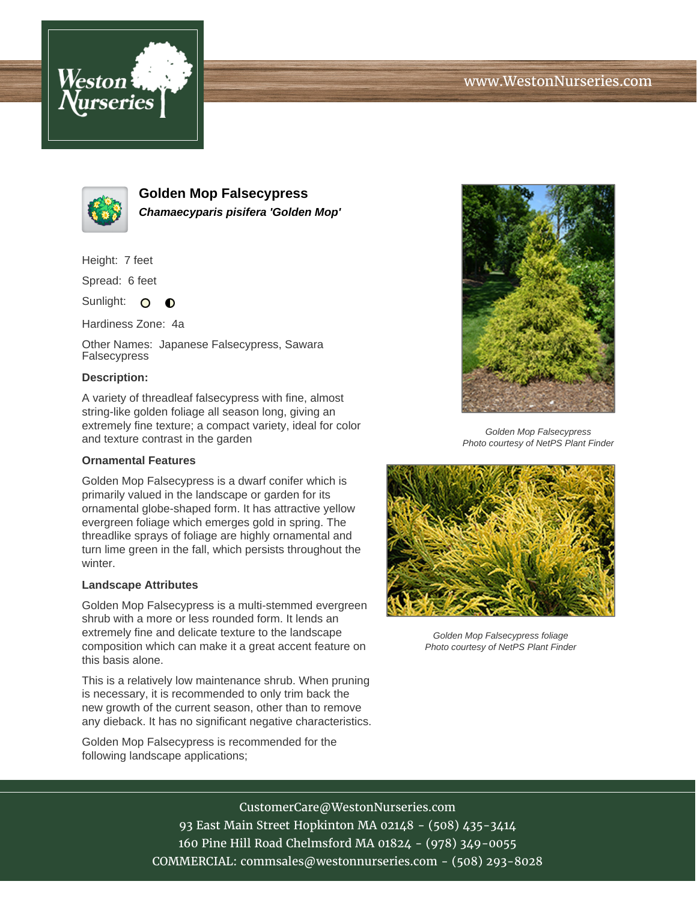



**Golden Mop Falsecypress Chamaecyparis pisifera 'Golden Mop'**

Height: 7 feet

Spread: 6 feet

Sunlight: O  $\bullet$ 

Hardiness Zone: 4a

Other Names: Japanese Falsecypress, Sawara Falsecypress

## **Description:**

A variety of threadleaf falsecypress with fine, almost string-like golden foliage all season long, giving an extremely fine texture; a compact variety, ideal for color and texture contrast in the garden

## **Ornamental Features**

Golden Mop Falsecypress is a dwarf conifer which is primarily valued in the landscape or garden for its ornamental globe-shaped form. It has attractive yellow evergreen foliage which emerges gold in spring. The threadlike sprays of foliage are highly ornamental and turn lime green in the fall, which persists throughout the winter.

## **Landscape Attributes**

Golden Mop Falsecypress is a multi-stemmed evergreen shrub with a more or less rounded form. It lends an extremely fine and delicate texture to the landscape composition which can make it a great accent feature on this basis alone.

This is a relatively low maintenance shrub. When pruning is necessary, it is recommended to only trim back the new growth of the current season, other than to remove any dieback. It has no significant negative characteristics.

Golden Mop Falsecypress is recommended for the following landscape applications;



Golden Mop Falsecypress Photo courtesy of NetPS Plant Finder



Golden Mop Falsecypress foliage Photo courtesy of NetPS Plant Finder

CustomerCare@WestonNurseries.com 93 East Main Street Hopkinton MA 02148 - (508) 435-3414 160 Pine Hill Road Chelmsford MA 01824 - (978) 349-0055 COMMERCIAL: commsales@westonnurseries.com - (508) 293-8028